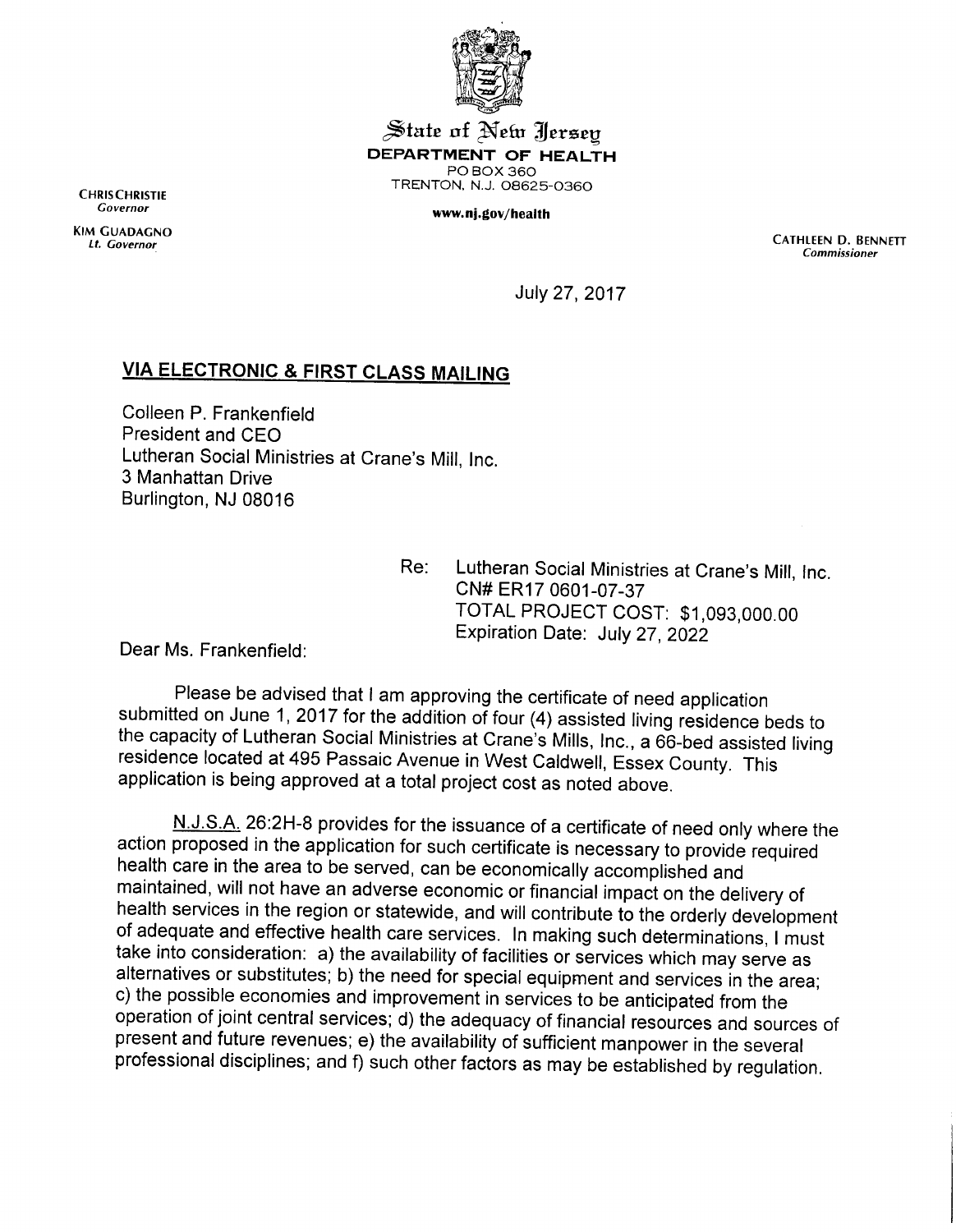

State of New Jersey *DEPARTMENT OF HEALTH* POBOX360 TRENTON, N.J. 08625-0360

**Governor** *www.nj.gov/health*

CHRISCHRISTIE

*KIM GUADACNO «-.,," r" rv " Lt. Governor CATHLEEN D. BENNETT Commissioner*

July 27, 2017

## *VIA ELECTRONIC & FIRST CLASS MAILING*

Colleen P. Frankenfield President and CEO Lutheran Social Ministries at Crane's Mill, Inc. 3 Manhattan Drive Burlington, NJ 08016

> Re: Lutheran Social Ministries at Crane's Mill, Inc CN#ER17 0601-07-37 TOTAL PROJECT COST: \$1,093,000.00 Expiration Date: July 27, 2022

Dear Ms. Frankenfield:

Please be advised that Iam approving the certificate of need application submitted on June 1, <sup>2017</sup> for the addition of four (4) assisted living residence beds to the capacity of Lutheran Social Ministries at Crane's Mills, Inc., a 66-bed assisted living residence located at 495 Passaic Avenue in West Caldwell, Essex County. This application is being approved at a total project cost as noted above.

N.J.S.A. 26:2H-8 provides for the issuance of a certificate of need only where the action proposed in the application for such certificate is necessary to provide required health care in the area to be served, can be economically accomplished and maintained, will not have an adverse economic or financial impact on the delivery of health services in the region or statewide, and will contribute to the orderly development of adequate and effective health care services. In making such determinations, Imust take into consideration: a) the availability of facilities or services which may serve as alternatives or substitutes; b) the need for special equipment and services in the area; c) the possible economies and improvement in services to be anticipated from the operation of joint central services; d) the adequacy of financial resources and sources of present and future revenues; e) the availability of sufficient manpower in the several professional disciplines; and f) such other factors as may be established by regulation.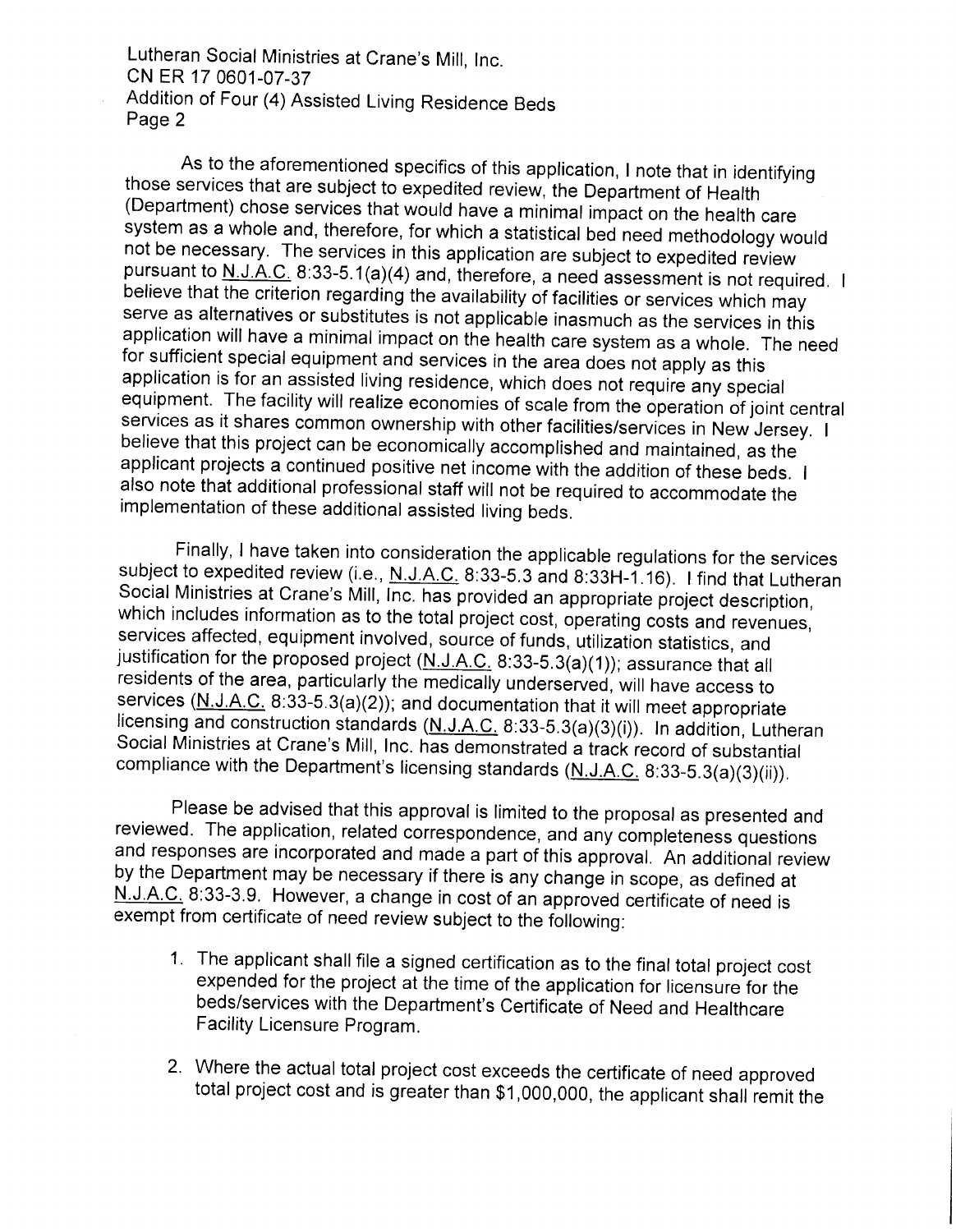Lutheran Social Ministries at Crane's Mill, Inc. CNER 17 0601-07-37 Addition of Four (4) Assisted Living Residence Beds Page 2

As to the aforementioned specifics of this application, I note that in identifying those services that are subject to expedited review, the Department of Health (Department) chose services that would have a minimal impact on the health care system as awhole and, therefore, for which a statistical bed need methodology would not be necessary. The services in this application are subject to expedited review pursuant to N.J.A.C. 8:33-5.1(a)(4) and, therefore, a need assessment is not required. I believe that the criterion regarding the availability of facilities or services which may serve as alternatives or substitutes is not applicable inasmuch as the services in this application will have a minimal impact on the health care system as a whole. The need for sufficient special equipment and services in the area does not apply as this application is for an assisted living residence, which does not require any special equipment. The facility will realize economies of scale from the operation of joint central services as it shares common ownership with other facilities/services in New Jersey. I believe that this project can be economically accomplished and maintained, as the applicant projects a continued positive net income with the addition of these beds. I also note that additional professional staff will not be required to accommodate the implementation of these additional assisted living beds.

Finally, Ihave taken into consideration the applicable regulations for the services subject to expedited review (i.e., N.J.A.C. 8:33-5.3 and 8:33H-1.16). I find that Lutheran Social Ministries at Crane's Mill, Inc. has provided an appropriate project description which includes information as to the total project cost, operating costs and revenues, services affected, equipment involved, source of funds, utilization statistics, and justification for the proposed project (N.J.A.C. 8:33-5.3(a)(1)); assurance that all residents of the area, particularly the medically underserved, will have access to services  $(N, J, A, C, 8:33-5.3(a)(2))$ ; and documentation that it will meet appropriate licensing and construction standards (N.J.A.C. 8:33-5.3(a)(3)(i)). In addition, Lutheran Social Ministries at Crane's Mill, Inc. has demonstrated a track record of substantial compliance with the Department's licensing standards (N.J.A.C. 8:33-5.3(a)(3)(ii)).

Please be advised that this approval is limited to the proposal as presented and reviewed. The application, related correspondence, and any completeness questions and responses are incorporated and made a part of this approval. An additional review by the Department may be necessary if there is any change in scope, as defined at N.J.A.C. 8:33-3.9. However, a change in cost of an approved certificate of need is exempt from certificate of need review subject to the following:

- 1. The applicant shall file a signed certification as to the final total project cost expended for the project at the time of the application for licensure for the beds/services with the Department's Certificate of Need and Healthcare Facility Licensure Program.
- 2. Where the actual total project cost exceeds the certificate of need approved total project cost and is greater than \$1,000,000, the applicant shall remit the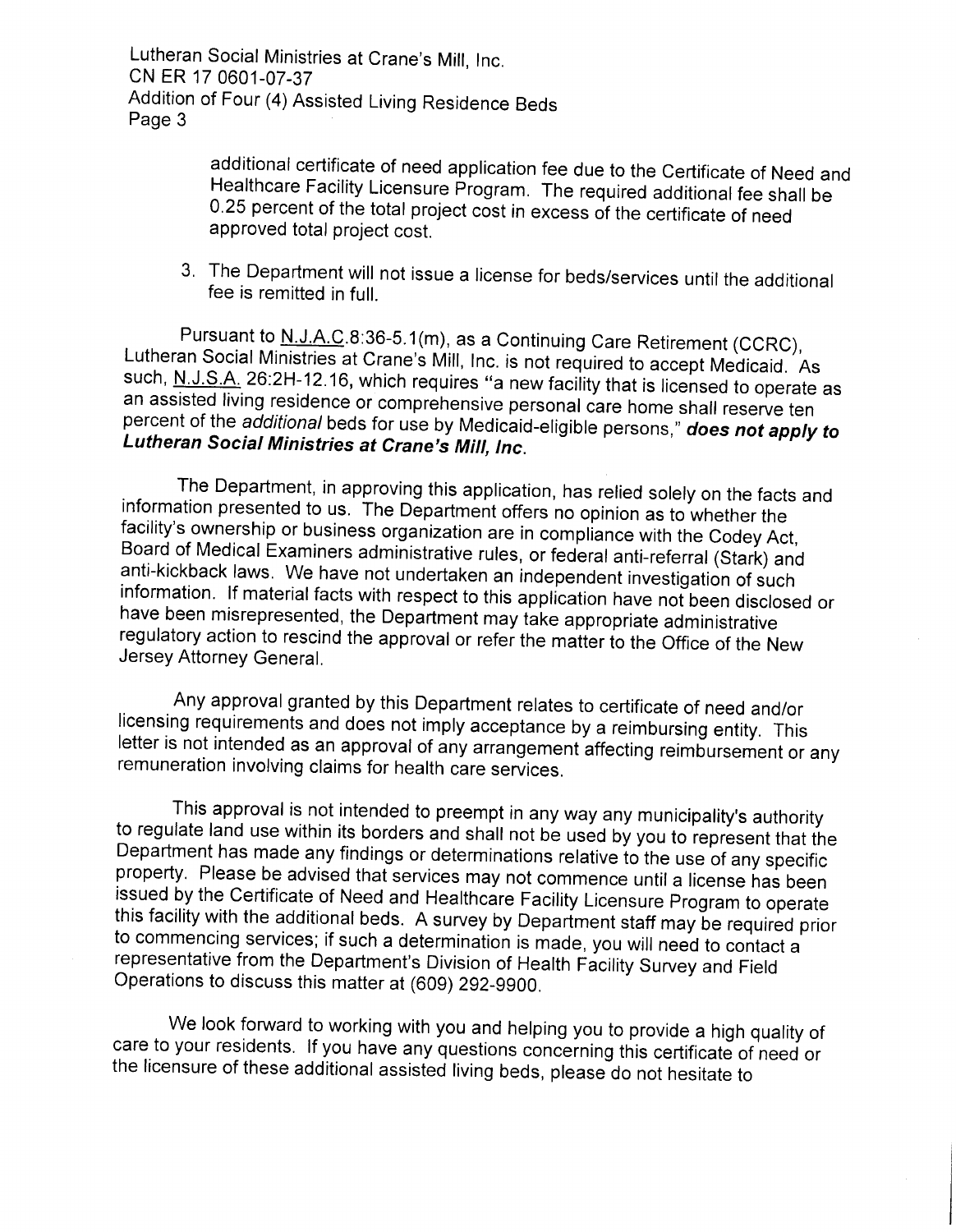Lutheran Social Ministries at Crane's Mill, Inc. CNER 17 0601-07-37 Addition of Four (4) Assisted Living Residence Beds Page 3

> additional certificate of need application fee due to the Certificate of Need and Healthcare Facility Licensure Program. The required additional fee shall be 0.25 percent of the total project cost in excess of the certificate of need approved total project cost.

3. The Department will not issue a license for beds/services until the additional fee is remitted in full.

Pursuant to N.J.A.C.8:36-5.1(m), as a Continuing Care Retirement (CCRC),<br>Lutheran Social Ministries at Crane's Mill, Inc. is not required to accept Medicaid. As such, N.J.S.A. 26:2H-12.16, which requires "a new facility that is licensed to operate as an assisted living residence or comprehensive personal care home shall reserve ten percent of the **additional** beds for use by Medicaid-eligible persons," *does not apply to Lutheran SocialMinistries at Crane's Mill, Inc.*

The Department, in approving this application, has relied solely on the facts and information presented to us. The Department offers no opinion as to whether the facility's ownership or business organization are in compliance with the Codey Act Board of Medical Examiners administrative rules, or federal anti-referral (Stark) and anti-kickback laws. We have not undertaken an independent investigation of such information. If material facts with respect to this application have not been disclosed or have been misrepresented, the Department may take appropriate administrative regulatory action to rescind the approval or refer the matter to the Office of the New Jersey Attorney General.

Any approval granted by this Department relates to certificate of need and/or licensing requirements and does not imply acceptance by a reimbursing entity. This letter is not intended as an approval of any arrangement affecting reimbursement or any remuneration involving claims for health care services.

This approval is not intended to preempt in any way any municipality's authority to regulate land use within its borders and shall not be used by you to represent that the Department has made any findings or determinations relative to the use of any specific property. Please be advised that services may not commence until a license has been issued by the Certificate of Need and Healthcare Facility Licensure Program to operate this facility with the additional beds. Asurvey by Department staff may be required prior to commencing services; if such a determination is made, you will need to contact a representative from the Department's Division of Health Facility Survey and Field Operations to discuss this matter at (609) 292-9900.

We look forward to working with you and helping you to provide a high quality of care to your residents. If you have any questions concerning this certificate of need or the licensure of these additional assisted living beds, please do not hesitate to